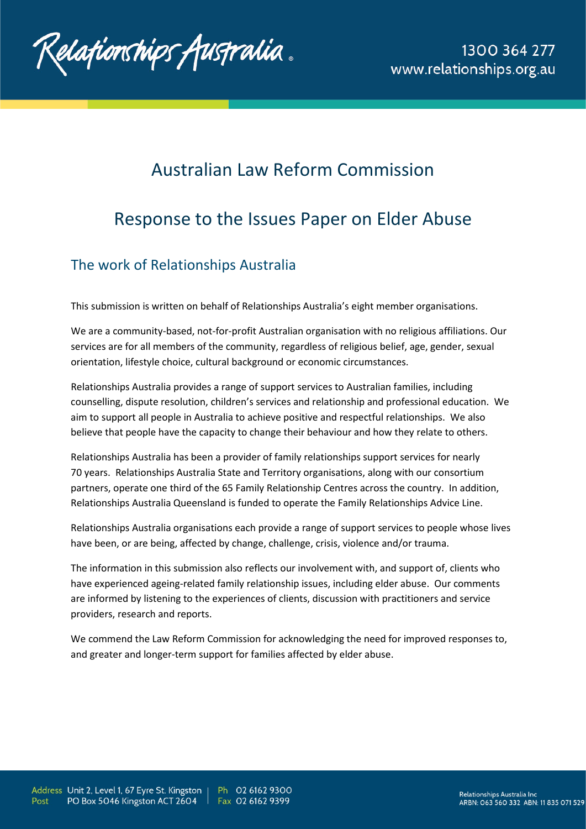

# Australian Law Reform Commission

# Response to the Issues Paper on Elder Abuse

# The work of Relationships Australia

This submission is written on behalf of Relationships Australia's eight member organisations.

We are a community-based, not-for-profit Australian organisation with no religious affiliations. Our services are for all members of the community, regardless of religious belief, age, gender, sexual orientation, lifestyle choice, cultural background or economic circumstances.

Relationships Australia provides a range of support services to Australian families, including counselling, dispute resolution, children's services and relationship and professional education. We aim to support all people in Australia to achieve positive and respectful relationships. We also believe that people have the capacity to change their behaviour and how they relate to others.

Relationships Australia has been a provider of family relationships support services for nearly 70 years. Relationships Australia State and Territory organisations, along with our consortium partners, operate one third of the 65 Family Relationship Centres across the country. In addition, Relationships Australia Queensland is funded to operate the Family Relationships Advice Line.

Relationships Australia organisations each provide a range of support services to people whose lives have been, or are being, affected by change, challenge, crisis, violence and/or trauma.

The information in this submission also reflects our involvement with, and support of, clients who have experienced ageing-related family relationship issues, including elder abuse. Our comments are informed by listening to the experiences of clients, discussion with practitioners and service providers, research and reports.

We commend the Law Reform Commission for acknowledging the need for improved responses to, and greater and longer-term support for families affected by elder abuse.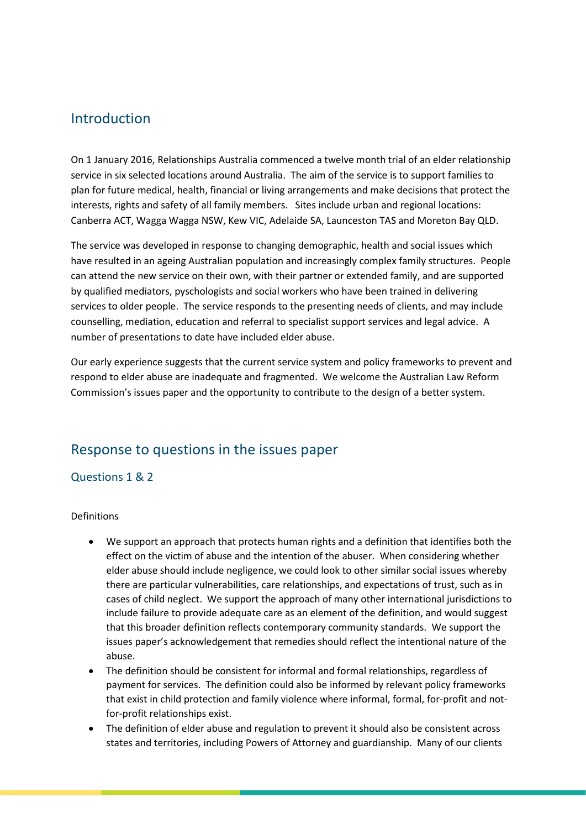# Introduction

On 1 January 2016, Relationships Australia commenced a twelve month trial of an elder relationship service in six selected locations around Australia. The aim of the service is to support families to plan for future medical, health, financial or living arrangements and make decisions that protect the interests, rights and safety of all family members. Sites include urban and regional locations: Canberra ACT, Wagga Wagga NSW, Kew VIC, Adelaide SA, Launceston TAS and Moreton Bay QLD.

The service was developed in response to changing demographic, health and social issues which have resulted in an ageing Australian population and increasingly complex family structures. People can attend the new service on their own, with their partner or extended family, and are supported by qualified mediators, pyschologists and social workers who have been trained in delivering services to older people. The service responds to the presenting needs of clients, and may include counselling, mediation, education and referral to specialist support services and legal advice. A number of presentations to date have included elder abuse.

Our early experience suggests that the current service system and policy frameworks to prevent and respond to elder abuse are inadequate and fragmented. We welcome the Australian Law Reform Commission's issues paper and the opportunity to contribute to the design of a better system.

# Response to questions in the issues paper

# Questions 1 & 2

Definitions

- We support an approach that protects human rights and a definition that identifies both the effect on the victim of abuse and the intention of the abuser. When considering whether elder abuse should include negligence, we could look to other similar social issues whereby there are particular vulnerabilities, care relationships, and expectations of trust, such as in cases of child neglect. We support the approach of many other international jurisdictions to include failure to provide adequate care as an element of the definition, and would suggest that this broader definition reflects contemporary community standards. We support the issues paper's acknowledgement that remedies should reflect the intentional nature of the abuse.
- The definition should be consistent for informal and formal relationships, regardless of payment for services. The definition could also be informed by relevant policy frameworks that exist in child protection and family violence where informal, formal, for-profit and notfor-profit relationships exist.
- The definition of elder abuse and regulation to prevent it should also be consistent across states and territories, including Powers of Attorney and guardianship. Many of our clients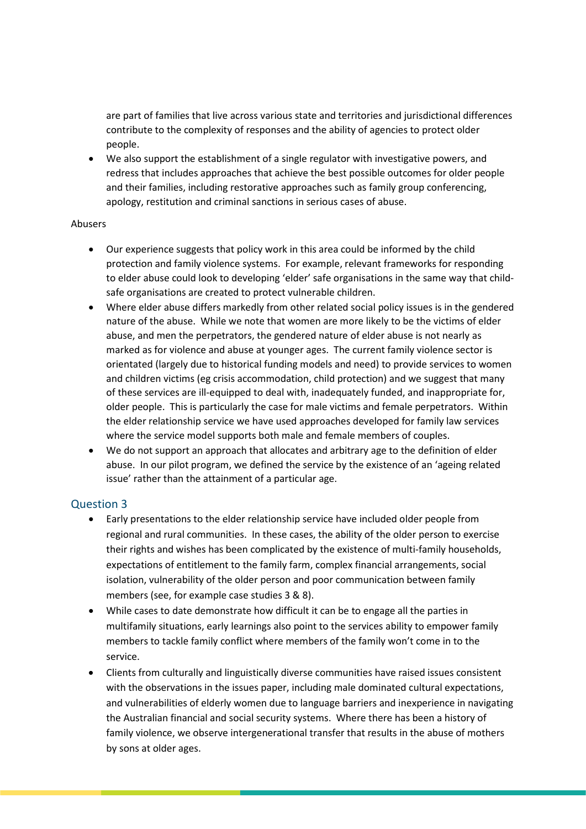are part of families that live across various state and territories and jurisdictional differences contribute to the complexity of responses and the ability of agencies to protect older people.

• We also support the establishment of a single regulator with investigative powers, and redress that includes approaches that achieve the best possible outcomes for older people and their families, including restorative approaches such as family group conferencing, apology, restitution and criminal sanctions in serious cases of abuse.

#### Abusers

- Our experience suggests that policy work in this area could be informed by the child protection and family violence systems. For example, relevant frameworks for responding to elder abuse could look to developing 'elder' safe organisations in the same way that childsafe organisations are created to protect vulnerable children.
- Where elder abuse differs markedly from other related social policy issues is in the gendered nature of the abuse. While we note that women are more likely to be the victims of elder abuse, and men the perpetrators, the gendered nature of elder abuse is not nearly as marked as for violence and abuse at younger ages. The current family violence sector is orientated (largely due to historical funding models and need) to provide services to women and children victims (eg crisis accommodation, child protection) and we suggest that many of these services are ill-equipped to deal with, inadequately funded, and inappropriate for, older people. This is particularly the case for male victims and female perpetrators. Within the elder relationship service we have used approaches developed for family law services where the service model supports both male and female members of couples.
- We do not support an approach that allocates and arbitrary age to the definition of elder abuse. In our pilot program, we defined the service by the existence of an 'ageing related issue' rather than the attainment of a particular age.

#### Question 3

- Early presentations to the elder relationship service have included older people from regional and rural communities. In these cases, the ability of the older person to exercise their rights and wishes has been complicated by the existence of multi-family households, expectations of entitlement to the family farm, complex financial arrangements, social isolation, vulnerability of the older person and poor communication between family members (see, for example case studies 3 & 8).
- While cases to date demonstrate how difficult it can be to engage all the parties in multifamily situations, early learnings also point to the services ability to empower family members to tackle family conflict where members of the family won't come in to the service.
- Clients from culturally and linguistically diverse communities have raised issues consistent with the observations in the issues paper, including male dominated cultural expectations, and vulnerabilities of elderly women due to language barriers and inexperience in navigating the Australian financial and social security systems. Where there has been a history of family violence, we observe intergenerational transfer that results in the abuse of mothers by sons at older ages.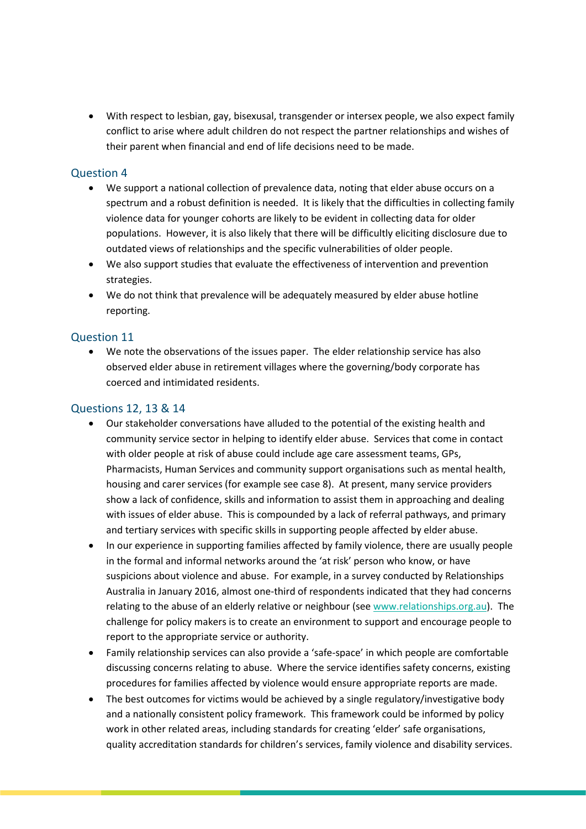• With respect to lesbian, gay, bisexusal, transgender or intersex people, we also expect family conflict to arise where adult children do not respect the partner relationships and wishes of their parent when financial and end of life decisions need to be made.

#### Question 4

- We support a national collection of prevalence data, noting that elder abuse occurs on a spectrum and a robust definition is needed. It is likely that the difficulties in collecting family violence data for younger cohorts are likely to be evident in collecting data for older populations. However, it is also likely that there will be difficultly eliciting disclosure due to outdated views of relationships and the specific vulnerabilities of older people.
- We also support studies that evaluate the effectiveness of intervention and prevention strategies.
- We do not think that prevalence will be adequately measured by elder abuse hotline reporting.

#### Question 11

• We note the observations of the issues paper. The elder relationship service has also observed elder abuse in retirement villages where the governing/body corporate has coerced and intimidated residents.

#### Questions 12, 13 & 14

- Our stakeholder conversations have alluded to the potential of the existing health and community service sector in helping to identify elder abuse. Services that come in contact with older people at risk of abuse could include age care assessment teams, GPs, Pharmacists, Human Services and community support organisations such as mental health, housing and carer services (for example see case 8). At present, many service providers show a lack of confidence, skills and information to assist them in approaching and dealing with issues of elder abuse. This is compounded by a lack of referral pathways, and primary and tertiary services with specific skills in supporting people affected by elder abuse.
- In our experience in supporting families affected by family violence, there are usually people in the formal and informal networks around the 'at risk' person who know, or have suspicions about violence and abuse. For example, in a survey conducted by Relationships Australia in January 2016, almost one-third of respondents indicated that they had concerns relating to the abuse of an elderly relative or neighbour (see [www.relationships.org.au\)](http://www.relationships.org.au/). The challenge for policy makers is to create an environment to support and encourage people to report to the appropriate service or authority.
- Family relationship services can also provide a 'safe-space' in which people are comfortable discussing concerns relating to abuse. Where the service identifies safety concerns, existing procedures for families affected by violence would ensure appropriate reports are made.
- The best outcomes for victims would be achieved by a single regulatory/investigative body and a nationally consistent policy framework. This framework could be informed by policy work in other related areas, including standards for creating 'elder' safe organisations, quality accreditation standards for children's services, family violence and disability services.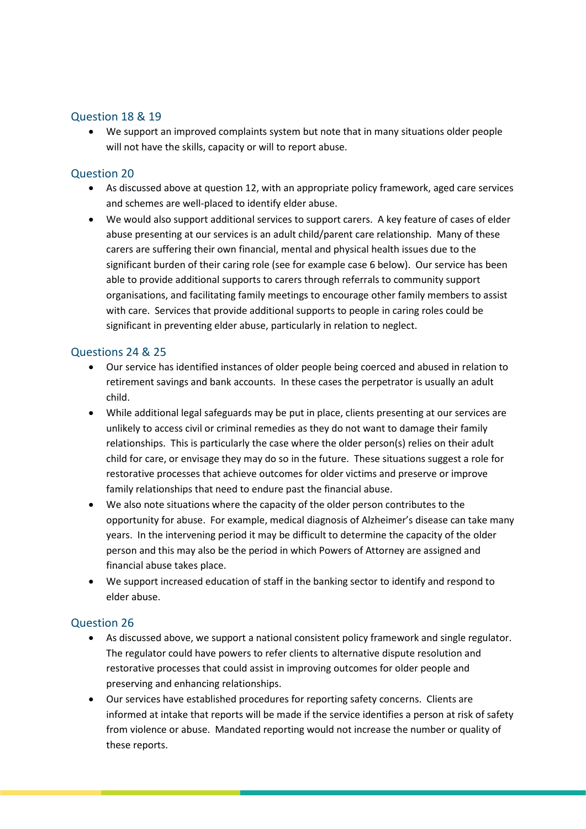# Question 18 & 19

• We support an improved complaints system but note that in many situations older people will not have the skills, capacity or will to report abuse.

# Question 20

- As discussed above at question 12, with an appropriate policy framework, aged care services and schemes are well-placed to identify elder abuse.
- We would also support additional services to support carers. A key feature of cases of elder abuse presenting at our services is an adult child/parent care relationship. Many of these carers are suffering their own financial, mental and physical health issues due to the significant burden of their caring role (see for example case 6 below). Our service has been able to provide additional supports to carers through referrals to community support organisations, and facilitating family meetings to encourage other family members to assist with care. Services that provide additional supports to people in caring roles could be significant in preventing elder abuse, particularly in relation to neglect.

# Questions 24 & 25

- Our service has identified instances of older people being coerced and abused in relation to retirement savings and bank accounts. In these cases the perpetrator is usually an adult child.
- While additional legal safeguards may be put in place, clients presenting at our services are unlikely to access civil or criminal remedies as they do not want to damage their family relationships. This is particularly the case where the older person(s) relies on their adult child for care, or envisage they may do so in the future. These situations suggest a role for restorative processes that achieve outcomes for older victims and preserve or improve family relationships that need to endure past the financial abuse.
- We also note situations where the capacity of the older person contributes to the opportunity for abuse. For example, medical diagnosis of Alzheimer's disease can take many years. In the intervening period it may be difficult to determine the capacity of the older person and this may also be the period in which Powers of Attorney are assigned and financial abuse takes place.
- We support increased education of staff in the banking sector to identify and respond to elder abuse.

#### Question 26

- As discussed above, we support a national consistent policy framework and single regulator. The regulator could have powers to refer clients to alternative dispute resolution and restorative processes that could assist in improving outcomes for older people and preserving and enhancing relationships.
- Our services have established procedures for reporting safety concerns. Clients are informed at intake that reports will be made if the service identifies a person at risk of safety from violence or abuse. Mandated reporting would not increase the number or quality of these reports.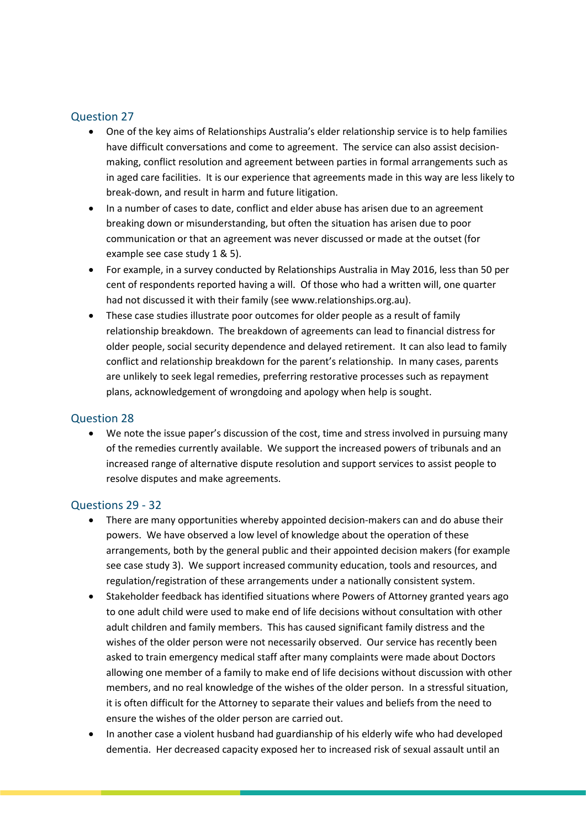## Question 27

- One of the key aims of Relationships Australia's elder relationship service is to help families have difficult conversations and come to agreement. The service can also assist decisionmaking, conflict resolution and agreement between parties in formal arrangements such as in aged care facilities. It is our experience that agreements made in this way are less likely to break-down, and result in harm and future litigation.
- In a number of cases to date, conflict and elder abuse has arisen due to an agreement breaking down or misunderstanding, but often the situation has arisen due to poor communication or that an agreement was never discussed or made at the outset (for example see case study 1 & 5).
- For example, in a survey conducted by Relationships Australia in May 2016, less than 50 per cent of respondents reported having a will. Of those who had a written will, one quarter had not discussed it with their family (see www.relationships.org.au).
- These case studies illustrate poor outcomes for older people as a result of family relationship breakdown. The breakdown of agreements can lead to financial distress for older people, social security dependence and delayed retirement. It can also lead to family conflict and relationship breakdown for the parent's relationship. In many cases, parents are unlikely to seek legal remedies, preferring restorative processes such as repayment plans, acknowledgement of wrongdoing and apology when help is sought.

## Question 28

• We note the issue paper's discussion of the cost, time and stress involved in pursuing many of the remedies currently available. We support the increased powers of tribunals and an increased range of alternative dispute resolution and support services to assist people to resolve disputes and make agreements.

#### Questions 29 - 32

- There are many opportunities whereby appointed decision-makers can and do abuse their powers. We have observed a low level of knowledge about the operation of these arrangements, both by the general public and their appointed decision makers (for example see case study 3). We support increased community education, tools and resources, and regulation/registration of these arrangements under a nationally consistent system.
- Stakeholder feedback has identified situations where Powers of Attorney granted years ago to one adult child were used to make end of life decisions without consultation with other adult children and family members. This has caused significant family distress and the wishes of the older person were not necessarily observed. Our service has recently been asked to train emergency medical staff after many complaints were made about Doctors allowing one member of a family to make end of life decisions without discussion with other members, and no real knowledge of the wishes of the older person. In a stressful situation, it is often difficult for the Attorney to separate their values and beliefs from the need to ensure the wishes of the older person are carried out.
- In another case a violent husband had guardianship of his elderly wife who had developed dementia. Her decreased capacity exposed her to increased risk of sexual assault until an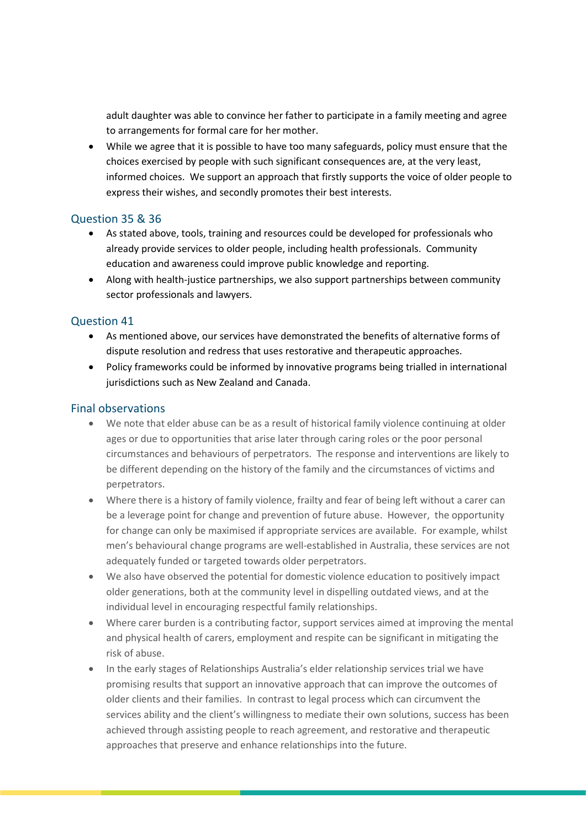adult daughter was able to convince her father to participate in a family meeting and agree to arrangements for formal care for her mother.

• While we agree that it is possible to have too many safeguards, policy must ensure that the choices exercised by people with such significant consequences are, at the very least, informed choices. We support an approach that firstly supports the voice of older people to express their wishes, and secondly promotes their best interests.

# Question 35 & 36

- As stated above, tools, training and resources could be developed for professionals who already provide services to older people, including health professionals. Community education and awareness could improve public knowledge and reporting.
- Along with health-justice partnerships, we also support partnerships between community sector professionals and lawyers.

# Question 41

- As mentioned above, our services have demonstrated the benefits of alternative forms of dispute resolution and redress that uses restorative and therapeutic approaches.
- Policy frameworks could be informed by innovative programs being trialled in international jurisdictions such as New Zealand and Canada.

#### Final observations

- We note that elder abuse can be as a result of historical family violence continuing at older ages or due to opportunities that arise later through caring roles or the poor personal circumstances and behaviours of perpetrators. The response and interventions are likely to be different depending on the history of the family and the circumstances of victims and perpetrators.
- Where there is a history of family violence, frailty and fear of being left without a carer can be a leverage point for change and prevention of future abuse. However, the opportunity for change can only be maximised if appropriate services are available. For example, whilst men's behavioural change programs are well-established in Australia, these services are not adequately funded or targeted towards older perpetrators.
- We also have observed the potential for domestic violence education to positively impact older generations, both at the community level in dispelling outdated views, and at the individual level in encouraging respectful family relationships.
- Where carer burden is a contributing factor, support services aimed at improving the mental and physical health of carers, employment and respite can be significant in mitigating the risk of abuse.
- In the early stages of Relationships Australia's elder relationship services trial we have promising results that support an innovative approach that can improve the outcomes of older clients and their families. In contrast to legal process which can circumvent the services ability and the client's willingness to mediate their own solutions, success has been achieved through assisting people to reach agreement, and restorative and therapeutic approaches that preserve and enhance relationships into the future.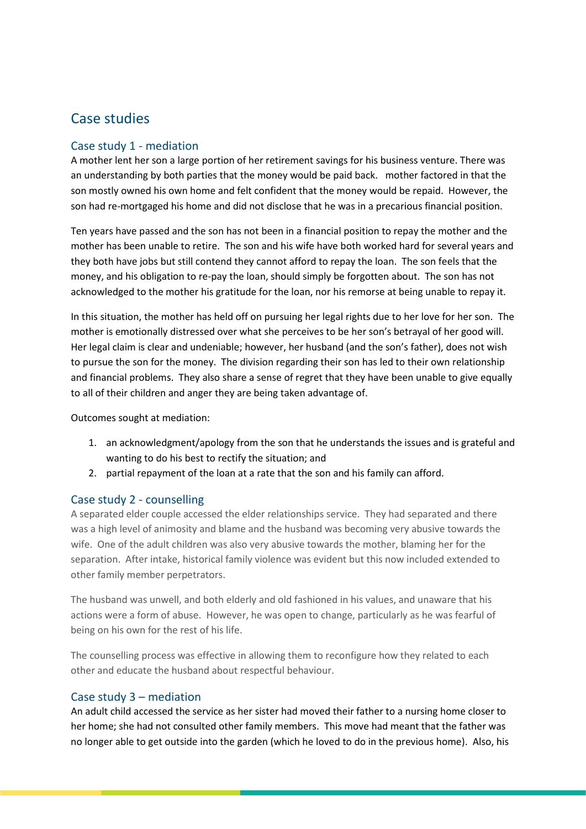# Case studies

# Case study 1 - mediation

A mother lent her son a large portion of her retirement savings for his business venture. There was an understanding by both parties that the money would be paid back. mother factored in that the son mostly owned his own home and felt confident that the money would be repaid. However, the son had re-mortgaged his home and did not disclose that he was in a precarious financial position.

Ten years have passed and the son has not been in a financial position to repay the mother and the mother has been unable to retire. The son and his wife have both worked hard for several years and they both have jobs but still contend they cannot afford to repay the loan. The son feels that the money, and his obligation to re-pay the loan, should simply be forgotten about. The son has not acknowledged to the mother his gratitude for the loan, nor his remorse at being unable to repay it.

In this situation, the mother has held off on pursuing her legal rights due to her love for her son. The mother is emotionally distressed over what she perceives to be her son's betrayal of her good will. Her legal claim is clear and undeniable; however, her husband (and the son's father), does not wish to pursue the son for the money. The division regarding their son has led to their own relationship and financial problems. They also share a sense of regret that they have been unable to give equally to all of their children and anger they are being taken advantage of.

Outcomes sought at mediation:

- 1. an acknowledgment/apology from the son that he understands the issues and is grateful and wanting to do his best to rectify the situation; and
- 2. partial repayment of the loan at a rate that the son and his family can afford.

#### Case study 2 - counselling

A separated elder couple accessed the elder relationships service. They had separated and there was a high level of animosity and blame and the husband was becoming very abusive towards the wife. One of the adult children was also very abusive towards the mother, blaming her for the separation. After intake, historical family violence was evident but this now included extended to other family member perpetrators.

The husband was unwell, and both elderly and old fashioned in his values, and unaware that his actions were a form of abuse. However, he was open to change, particularly as he was fearful of being on his own for the rest of his life.

The counselling process was effective in allowing them to reconfigure how they related to each other and educate the husband about respectful behaviour.

# Case study 3 – mediation

An adult child accessed the service as her sister had moved their father to a nursing home closer to her home; she had not consulted other family members. This move had meant that the father was no longer able to get outside into the garden (which he loved to do in the previous home). Also, his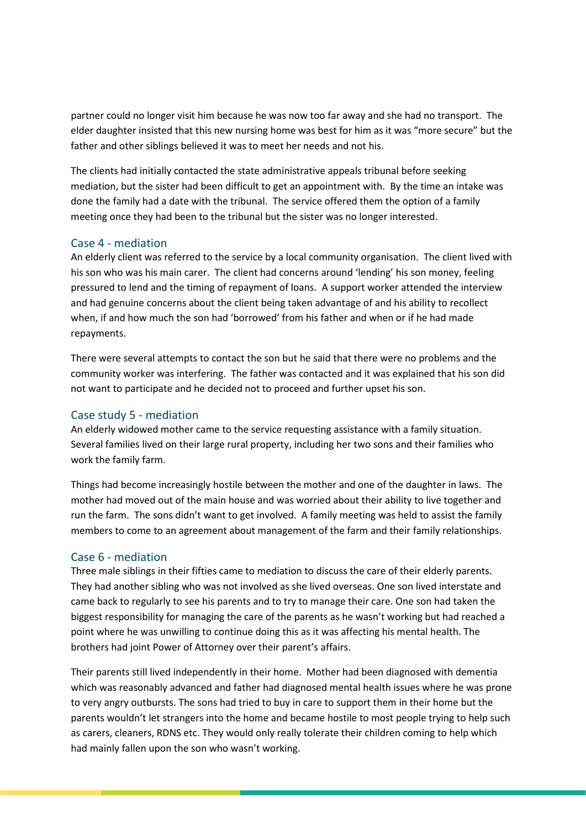partner could no longer visit him because he was now too far away and she had no transport. The elder daughter insisted that this new nursing home was best for him as it was "more secure" but the father and other siblings believed it was to meet her needs and not his.

The clients had initially contacted the state administrative appeals tribunal before seeking mediation, but the sister had been difficult to get an appointment with. By the time an intake was done the family had a date with the tribunal. The service offered them the option of a family meeting once they had been to the tribunal but the sister was no longer interested.

#### Case 4 - mediation

An elderly client was referred to the service by a local community organisation. The client lived with his son who was his main carer. The client had concerns around 'lending' his son money, feeling pressured to lend and the timing of repayment of loans. A support worker attended the interview and had genuine concerns about the client being taken advantage of and his ability to recollect when, if and how much the son had 'borrowed' from his father and when or if he had made repayments.

There were several attempts to contact the son but he said that there were no problems and the community worker was interfering. The father was contacted and it was explained that his son did not want to participate and he decided not to proceed and further upset his son.

#### Case study 5 - mediation

An elderly widowed mother came to the service requesting assistance with a family situation. Several families lived on their large rural property, including her two sons and their families who work the family farm.

Things had become increasingly hostile between the mother and one of the daughter in laws. The mother had moved out of the main house and was worried about their ability to live together and run the farm. The sons didn't want to get involved. A family meeting was held to assist the family members to come to an agreement about management of the farm and their family relationships.

#### Case 6 - mediation

Three male siblings in their fifties came to mediation to discuss the care of their elderly parents. They had another sibling who was not involved as she lived overseas. One son lived interstate and came back to regularly to see his parents and to try to manage their care. One son had taken the biggest responsibility for managing the care of the parents as he wasn't working but had reached a point where he was unwilling to continue doing this as it was affecting his mental health. The brothers had joint Power of Attorney over their parent's affairs.

Their parents still lived independently in their home. Mother had been diagnosed with dementia which was reasonably advanced and father had diagnosed mental health issues where he was prone to very angry outbursts. The sons had tried to buy in care to support them in their home but the parents wouldn't let strangers into the home and became hostile to most people trying to help such as carers, cleaners, RDNS etc. They would only really tolerate their children coming to help which had mainly fallen upon the son who wasn't working.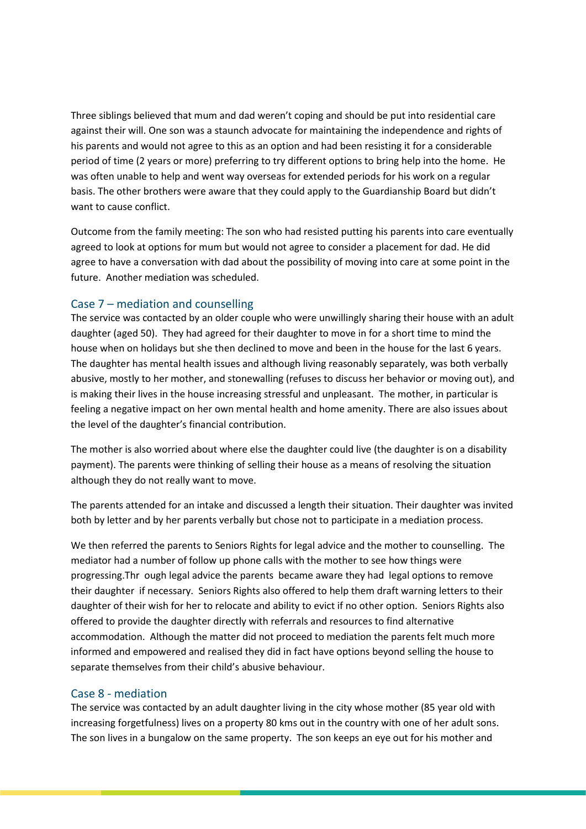Three siblings believed that mum and dad weren't coping and should be put into residential care against their will. One son was a staunch advocate for maintaining the independence and rights of his parents and would not agree to this as an option and had been resisting it for a considerable period of time (2 years or more) preferring to try different options to bring help into the home. He was often unable to help and went way overseas for extended periods for his work on a regular basis. The other brothers were aware that they could apply to the Guardianship Board but didn't want to cause conflict.

Outcome from the family meeting: The son who had resisted putting his parents into care eventually agreed to look at options for mum but would not agree to consider a placement for dad. He did agree to have a conversation with dad about the possibility of moving into care at some point in the future. Another mediation was scheduled.

# Case 7 – mediation and counselling

The service was contacted by an older couple who were unwillingly sharing their house with an adult daughter (aged 50). They had agreed for their daughter to move in for a short time to mind the house when on holidays but she then declined to move and been in the house for the last 6 years. The daughter has mental health issues and although living reasonably separately, was both verbally abusive, mostly to her mother, and stonewalling (refuses to discuss her behavior or moving out), and is making their lives in the house increasing stressful and unpleasant. The mother, in particular is feeling a negative impact on her own mental health and home amenity. There are also issues about the level of the daughter's financial contribution.

The mother is also worried about where else the daughter could live (the daughter is on a disability payment). The parents were thinking of selling their house as a means of resolving the situation although they do not really want to move.

The parents attended for an intake and discussed a length their situation. Their daughter was invited both by letter and by her parents verbally but chose not to participate in a mediation process.

We then referred the parents to Seniors Rights for legal advice and the mother to counselling. The mediator had a number of follow up phone calls with the mother to see how things were progressing.Thr ough legal advice the parents became aware they had legal options to remove their daughter if necessary. Seniors Rights also offered to help them draft warning letters to their daughter of their wish for her to relocate and ability to evict if no other option. Seniors Rights also offered to provide the daughter directly with referrals and resources to find alternative accommodation. Although the matter did not proceed to mediation the parents felt much more informed and empowered and realised they did in fact have options beyond selling the house to separate themselves from their child's abusive behaviour.

#### Case 8 - mediation

The service was contacted by an adult daughter living in the city whose mother (85 year old with increasing forgetfulness) lives on a property 80 kms out in the country with one of her adult sons. The son lives in a bungalow on the same property. The son keeps an eye out for his mother and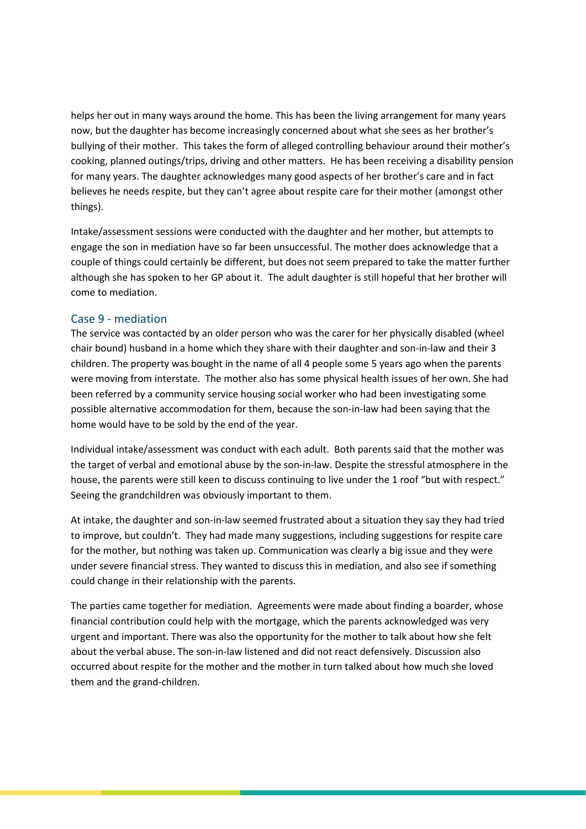helps her out in many ways around the home. This has been the living arrangement for many years now, but the daughter has become increasingly concerned about what she sees as her brother's bullying of their mother. This takes the form of alleged controlling behaviour around their mother's cooking, planned outings/trips, driving and other matters. He has been receiving a disability pension for many years. The daughter acknowledges many good aspects of her brother's care and in fact believes he needs respite, but they can't agree about respite care for their mother (amongst other things).

Intake/assessment sessions were conducted with the daughter and her mother, but attempts to engage the son in mediation have so far been unsuccessful. The mother does acknowledge that a couple of things could certainly be different, but does not seem prepared to take the matter further although she has spoken to her GP about it. The adult daughter is still hopeful that her brother will come to mediation.

## Case 9 - mediation

The service was contacted by an older person who was the carer for her physically disabled (wheel chair bound) husband in a home which they share with their daughter and son-in-law and their 3 children. The property was bought in the name of all 4 people some 5 years ago when the parents were moving from interstate. The mother also has some physical health issues of her own. She had been referred by a community service housing social worker who had been investigating some possible alternative accommodation for them, because the son-in-law had been saying that the home would have to be sold by the end of the year.

Individual intake/assessment was conduct with each adult. Both parents said that the mother was the target of verbal and emotional abuse by the son-in-law. Despite the stressful atmosphere in the house, the parents were still keen to discuss continuing to live under the 1 roof "but with respect." Seeing the grandchildren was obviously important to them.

At intake, the daughter and son-in-law seemed frustrated about a situation they say they had tried to improve, but couldn't. They had made many suggestions, including suggestions for respite care for the mother, but nothing was taken up. Communication was clearly a big issue and they were under severe financial stress. They wanted to discuss this in mediation, and also see if something could change in their relationship with the parents.

The parties came together for mediation. Agreements were made about finding a boarder, whose financial contribution could help with the mortgage, which the parents acknowledged was very urgent and important. There was also the opportunity for the mother to talk about how she felt about the verbal abuse. The son-in-law listened and did not react defensively. Discussion also occurred about respite for the mother and the mother in turn talked about how much she loved them and the grand-children.